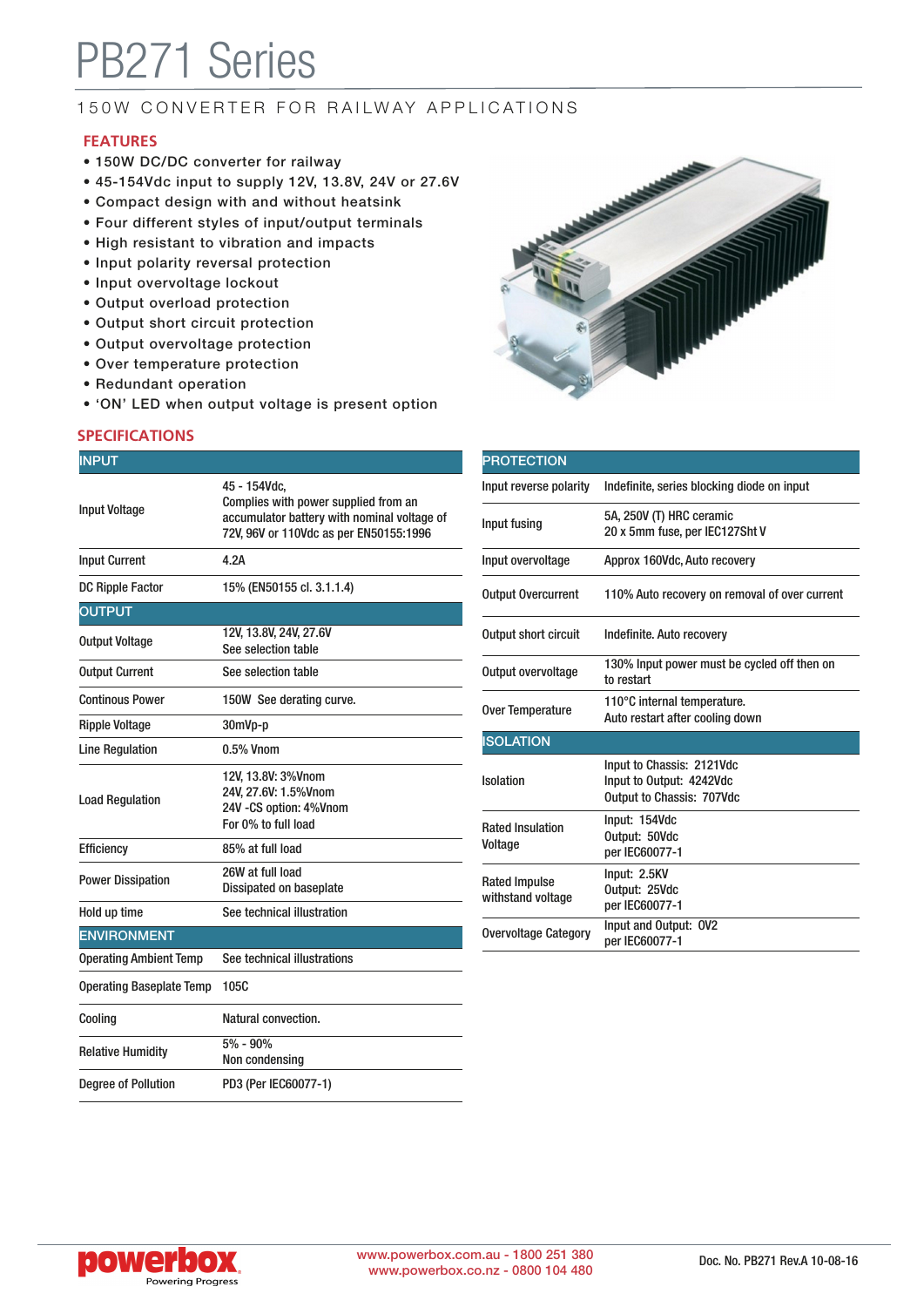# PB271 Series

## 150W CONVERTER FOR RAILWAY APPLICATIONS

#### **FEATURES**

- 150W DC/DC converter for railway
- 45-154Vdc input to supply 12V, 13.8V, 24V or 27.6V
- Compact design with and without heatsink
- Four different styles of input/output terminals
- High resistant to vibration and impacts
- Input polarity reversal protection
- Input overvoltage lockout
- Output overload protection
- Output short circuit protection
- Output overvoltage protection
- Over temperature protection
- Redundant operation
- 'ON' LED when output voltage is present option

#### **SPECIFICATIONS**

| <b>INPUT</b>                    |                                                                                                                                               |
|---------------------------------|-----------------------------------------------------------------------------------------------------------------------------------------------|
| <b>Input Voltage</b>            | 45 - 154Vdc,<br>Complies with power supplied from an<br>accumulator battery with nominal voltage of<br>72V, 96V or 110Vdc as per EN50155:1996 |
| <b>Input Current</b>            | 4.2A                                                                                                                                          |
| <b>DC Ripple Factor</b>         | 15% (EN50155 cl. 3.1.1.4)                                                                                                                     |
| <b>OUTPUT</b>                   |                                                                                                                                               |
| <b>Output Voltage</b>           | 12V, 13.8V, 24V, 27.6V<br>See selection table                                                                                                 |
| <b>Output Current</b>           | See selection table                                                                                                                           |
| <b>Continous Power</b>          | 150W See derating curve.                                                                                                                      |
| <b>Ripple Voltage</b>           | 30mVp-p                                                                                                                                       |
| <b>Line Regulation</b>          | 0.5% Vnom                                                                                                                                     |
| <b>Load Regulation</b>          | 12V, 13.8V: 3%Vnom<br>24V. 27.6V: 1.5%Vnom<br>24V - CS option: 4% Vnom<br>For 0% to full load                                                 |
| Efficiency                      | 85% at full load                                                                                                                              |
| <b>Power Dissipation</b>        | 26W at full load<br>Dissipated on baseplate                                                                                                   |
| Hold up time                    | See technical illustration                                                                                                                    |
| <b>ENVIRONMENT</b>              |                                                                                                                                               |
| <b>Operating Ambient Temp</b>   | See technical illustrations                                                                                                                   |
| <b>Operating Baseplate Temp</b> | 105C                                                                                                                                          |
| Cooling                         | Natural convection.                                                                                                                           |
| <b>Relative Humidity</b>        | 5% - 90%<br>Non condensing                                                                                                                    |
| <b>Degree of Pollution</b>      | PD3 (Per IEC60077-1)                                                                                                                          |



| <b>PROTECTION</b>                         |                                                                                           |
|-------------------------------------------|-------------------------------------------------------------------------------------------|
| Input reverse polarity                    | Indefinite, series blocking diode on input                                                |
| Input fusing                              | 5A, 250V (T) HRC ceramic<br>20 x 5mm fuse, per IEC127Sht V                                |
| Input overvoltage                         | Approx 160Vdc, Auto recovery                                                              |
| <b>Output Overcurrent</b>                 | 110% Auto recovery on removal of over current                                             |
| <b>Output short circuit</b>               | Indefinite. Auto recovery                                                                 |
| Output overvoltage                        | 130% Input power must be cycled off then on<br>to restart                                 |
| Over Temperature                          | 110°C internal temperature.<br>Auto restart after cooling down                            |
| <b>ISOLATION</b>                          |                                                                                           |
| Isolation                                 | Input to Chassis: 2121Vdc<br>Input to Output: 4242Vdc<br><b>Output to Chassis: 707Vdc</b> |
| <b>Rated Insulation</b><br>Voltage        | Input: 154Vdc<br>Output: 50Vdc<br>per IEC60077-1                                          |
| <b>Rated Impulse</b><br>withstand voltage | Input: 2.5KV<br>Output: 25Vdc<br>per IEC60077-1                                           |
| <b>Overvoltage Category</b>               | Input and Output: 0V2<br>per IEC60077-1                                                   |

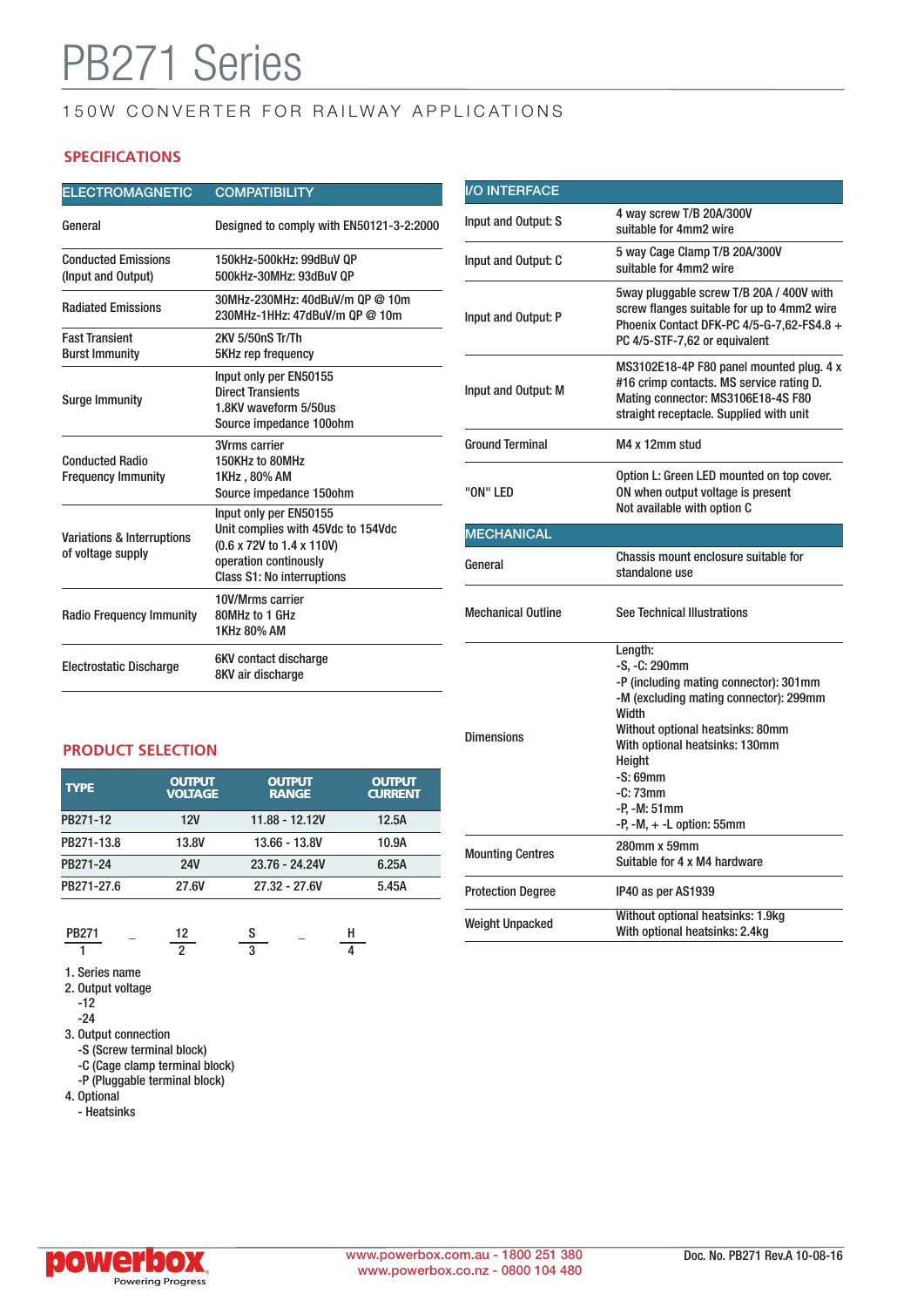# **B271 Series**

## 150W CONVERTER FOR RAILWAY APPLICATIONS

### **SPECIFICATIONS**

| <b>ELECTROMAGNETIC</b>                                     | <b>COMPATIBILITY</b>                                                                                                                                    | <b>I/O INTERFACE</b>      |                                                                                                                                                                       |
|------------------------------------------------------------|---------------------------------------------------------------------------------------------------------------------------------------------------------|---------------------------|-----------------------------------------------------------------------------------------------------------------------------------------------------------------------|
| General                                                    | Designed to comply with EN50121-3-2:2000                                                                                                                | Input and Output: S       | 4 way screw T/B 20A/300V<br>suitable for 4mm2 wire                                                                                                                    |
| <b>Conducted Emissions</b><br>(Input and Output)           | 150kHz-500kHz: 99dBuV OP<br>500kHz-30MHz: 93dBuV QP                                                                                                     | Input and Output: C       | 5 way Cage Clamp T/B 20A/300V<br>suitable for 4mm2 wire                                                                                                               |
| <b>Radiated Emissions</b>                                  | 30MHz-230MHz: 40dBuV/m QP @ 10m<br>230MHz-1HHz: 47dBuV/m QP @ 10m                                                                                       | Input and Output: P       | 5way pluggable screw T/B 20A / 400V with<br>screw flanges suitable for up to 4mm2 wire<br>Phoenix Contact DFK-PC 4/5-G-7,62-FS4.8 +<br>PC 4/5-STF-7,62 or equivalent  |
| <b>Fast Transient</b><br><b>Burst Immunity</b>             | 2KV 5/50nS Tr/Th<br><b>5KHz rep frequency</b>                                                                                                           |                           |                                                                                                                                                                       |
| <b>Surge Immunity</b>                                      | Input only per EN50155<br><b>Direct Transients</b><br>1.8KV waveform 5/50us<br>Source impedance 100ohm                                                  | Input and Output: M       | MS3102E18-4P F80 panel mounted plug. 4 x<br>#16 crimp contacts. MS service rating D.<br>Mating connector: MS3106E18-4S F80<br>straight receptacle. Supplied with unit |
|                                                            | 3Vrms carrier                                                                                                                                           | <b>Ground Terminal</b>    | M4 x 12mm stud                                                                                                                                                        |
| <b>Conducted Radio</b><br><b>Frequency Immunity</b>        | 150KHz to 80MHz<br>1KHz, 80% AM<br>Source impedance 150ohm                                                                                              | "ON" LED                  | Option L: Green LED mounted on top cover.<br>ON when output voltage is present                                                                                        |
| <b>Variations &amp; Interruptions</b><br>of voltage supply | Input only per EN50155<br>Unit complies with 45Vdc to 154Vdc<br>(0.6 x 72V to 1.4 x 110V)<br>operation continously<br><b>Class S1: No interruptions</b> |                           | Not available with option C                                                                                                                                           |
|                                                            |                                                                                                                                                         | <b>MECHANICAL</b>         |                                                                                                                                                                       |
|                                                            |                                                                                                                                                         | General                   | Chassis mount enclosure suitable for<br>standalone use                                                                                                                |
| <b>Radio Frequency Immunity</b>                            | 10V/Mrms carrier<br>80MHz to 1 GHz<br>1KHz 80% AM                                                                                                       | <b>Mechanical Outline</b> | <b>See Technical Illustrations</b>                                                                                                                                    |
| <b>Electrostatic Discharge</b>                             | 6KV contact discharge<br>8KV air discharge                                                                                                              |                           | Length:<br>$-S. -C: 290$ mm<br>-P (including mating connector): 301mm                                                                                                 |

#### **PRODUCT SELECTION**

| <b>TYPE</b> | <b>OUTPUT</b><br><b>VOLTAGE</b> | <b>OUTPUT</b><br><b>RANGE</b> | <b>OUTPUT</b><br><b>CURRENT</b> |
|-------------|---------------------------------|-------------------------------|---------------------------------|
| PB271-12    | <b>12V</b>                      | 11.88 - 12.12V                | 12.5A                           |
| PB271-13.8  | 13.8V                           | 13.66 - 13.8V                 | 10.9A                           |
| PB271-24    | <b>24V</b>                      | 23.76 - 24.24V                | 6.25A                           |
| PB271-27.6  | 27.6V                           | 27.32 - 27.6V                 | 5.45A                           |
|             |                                 |                               |                                 |

$$
\frac{PB271}{1} - \frac{12}{2} - \frac{S}{3} - \frac{H}{4}
$$

1. Series name

2. Output voltage  $-12$ 

-24

- 3. Output connection
	- -S (Screw terminal block)
	- -C (Cage clamp terminal block) -P (Pluggable terminal block)

4. Optional - Heatsinks

| "ON" LED                  | ON when output voltage is present<br>Not available with option C                                                                                                                                                                                                                        |  |  |
|---------------------------|-----------------------------------------------------------------------------------------------------------------------------------------------------------------------------------------------------------------------------------------------------------------------------------------|--|--|
| <b>MECHANICAL</b>         |                                                                                                                                                                                                                                                                                         |  |  |
| General                   | Chassis mount enclosure suitable for<br>standalone use                                                                                                                                                                                                                                  |  |  |
| <b>Mechanical Outline</b> | <b>See Technical Illustrations</b>                                                                                                                                                                                                                                                      |  |  |
| <b>Dimensions</b>         | Length:<br>-S, -C: 290mm<br>-P (including mating connector): 301mm<br>-M (excluding mating connector): 299mm<br>Width<br>Without optional heatsinks: 80mm<br>With optional heatsinks: 130mm<br>Height<br>$-S:69mm$<br>$-C: 73mm$<br>-P. -M: 51mm<br>$-P$ , $-M$ , $+$ $-L$ option: 55mm |  |  |
| <b>Mounting Centres</b>   | 280mm x 59mm<br>Suitable for 4 x M4 hardware                                                                                                                                                                                                                                            |  |  |
| <b>Protection Degree</b>  | IP40 as per AS1939                                                                                                                                                                                                                                                                      |  |  |
| <b>Weight Unpacked</b>    | Without optional heatsinks: 1.9kg<br>With optional heatsinks: 2.4kg                                                                                                                                                                                                                     |  |  |
|                           |                                                                                                                                                                                                                                                                                         |  |  |